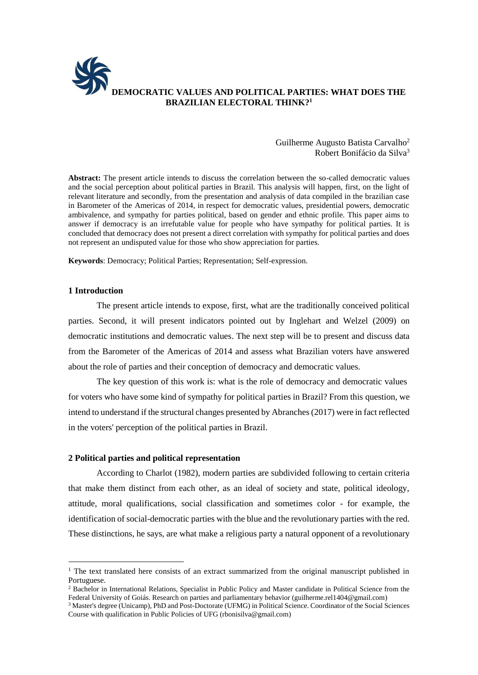

## Guilherme Augusto Batista Carvalho<sup>2</sup> Robert Bonifácio da Silva<sup>3</sup>

**Abstract:** The present article intends to discuss the correlation between the so-called democratic values and the social perception about political parties in Brazil. This analysis will happen, first, on the light of relevant literature and secondly, from the presentation and analysis of data compiled in the brazilian case in Barometer of the Americas of 2014, in respect for democratic values, presidential powers, democratic ambivalence, and sympathy for parties political, based on gender and ethnic profile. This paper aims to answer if democracy is an irrefutable value for people who have sympathy for political parties. It is concluded that democracy does not present a direct correlation with sympathy for political parties and does not represent an undisputed value for those who show appreciation for parties.

**Keywords**: Democracy; Political Parties; Representation; Self-expression.

### **1 Introduction**

1

The present article intends to expose, first, what are the traditionally conceived political parties. Second, it will present indicators pointed out by Inglehart and Welzel (2009) on democratic institutions and democratic values. The next step will be to present and discuss data from the Barometer of the Americas of 2014 and assess what Brazilian voters have answered about the role of parties and their conception of democracy and democratic values.

The key question of this work is: what is the role of democracy and democratic values for voters who have some kind of sympathy for political parties in Brazil? From this question, we intend to understand if the structural changes presented by Abranches (2017) were in fact reflected in the voters' perception of the political parties in Brazil.

#### **2 Political parties and political representation**

According to Charlot (1982), modern parties are subdivided following to certain criteria that make them distinct from each other, as an ideal of society and state, political ideology, attitude, moral qualifications, social classification and sometimes color - for example, the identification of social-democratic parties with the blue and the revolutionary parties with the red. These distinctions, he says, are what make a religious party a natural opponent of a revolutionary

<sup>&</sup>lt;sup>1</sup> The text translated here consists of an extract summarized from the original manuscript published in Portuguese.

<sup>&</sup>lt;sup>2</sup> Bachelor in International Relations, Specialist in Public Policy and Master candidate in Political Science from the Federal University of Goiás. Research on parties and parliamentary behavior (guilherme.rel1404@gmail.com)

<sup>3</sup> Master's degree (Unicamp), PhD and Post-Doctorate (UFMG) in Political Science. Coordinator of the Social Sciences Course with qualification in Public Policies of UFG (rbonisilva@gmail.com)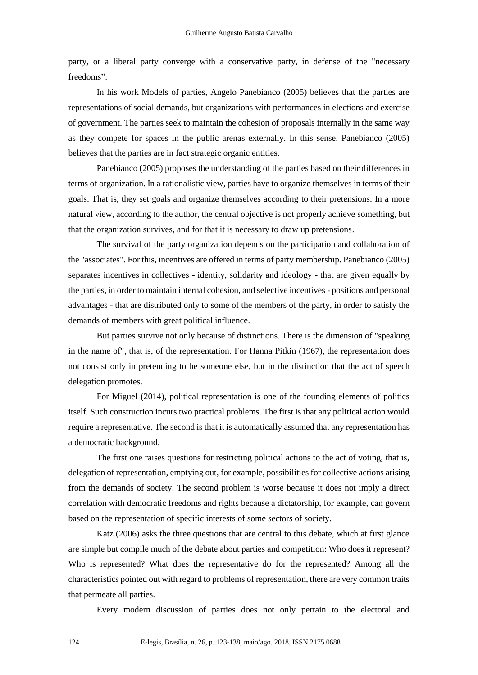party, or a liberal party converge with a conservative party, in defense of the "necessary freedoms".

In his work Models of parties, Angelo Panebianco (2005) believes that the parties are representations of social demands, but organizations with performances in elections and exercise of government. The parties seek to maintain the cohesion of proposals internally in the same way as they compete for spaces in the public arenas externally. In this sense, Panebianco (2005) believes that the parties are in fact strategic organic entities.

Panebianco (2005) proposes the understanding of the parties based on their differences in terms of organization. In a rationalistic view, parties have to organize themselves in terms of their goals. That is, they set goals and organize themselves according to their pretensions. In a more natural view, according to the author, the central objective is not properly achieve something, but that the organization survives, and for that it is necessary to draw up pretensions.

The survival of the party organization depends on the participation and collaboration of the "associates". For this, incentives are offered in terms of party membership. Panebianco (2005) separates incentives in collectives - identity, solidarity and ideology - that are given equally by the parties, in order to maintain internal cohesion, and selective incentives - positions and personal advantages - that are distributed only to some of the members of the party, in order to satisfy the demands of members with great political influence.

But parties survive not only because of distinctions. There is the dimension of "speaking in the name of", that is, of the representation. For Hanna Pitkin (1967), the representation does not consist only in pretending to be someone else, but in the distinction that the act of speech delegation promotes.

For Miguel (2014), political representation is one of the founding elements of politics itself. Such construction incurs two practical problems. The first is that any political action would require a representative. The second is that it is automatically assumed that any representation has a democratic background.

The first one raises questions for restricting political actions to the act of voting, that is, delegation of representation, emptying out, for example, possibilities for collective actions arising from the demands of society. The second problem is worse because it does not imply a direct correlation with democratic freedoms and rights because a dictatorship, for example, can govern based on the representation of specific interests of some sectors of society.

Katz (2006) asks the three questions that are central to this debate, which at first glance are simple but compile much of the debate about parties and competition: Who does it represent? Who is represented? What does the representative do for the represented? Among all the characteristics pointed out with regard to problems of representation, there are very common traits that permeate all parties.

Every modern discussion of parties does not only pertain to the electoral and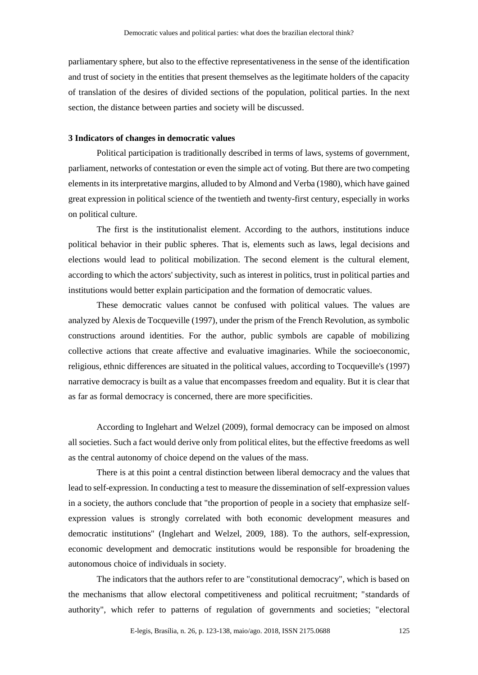parliamentary sphere, but also to the effective representativeness in the sense of the identification and trust of society in the entities that present themselves as the legitimate holders of the capacity of translation of the desires of divided sections of the population, political parties. In the next section, the distance between parties and society will be discussed.

# **3 Indicators of changes in democratic values**

Political participation is traditionally described in terms of laws, systems of government, parliament, networks of contestation or even the simple act of voting. But there are two competing elements in its interpretative margins, alluded to by Almond and Verba (1980), which have gained great expression in political science of the twentieth and twenty-first century, especially in works on political culture.

The first is the institutionalist element. According to the authors, institutions induce political behavior in their public spheres. That is, elements such as laws, legal decisions and elections would lead to political mobilization. The second element is the cultural element, according to which the actors' subjectivity, such as interest in politics, trust in political parties and institutions would better explain participation and the formation of democratic values.

These democratic values cannot be confused with political values. The values are analyzed by Alexis de Tocqueville (1997), under the prism of the French Revolution, as symbolic constructions around identities. For the author, public symbols are capable of mobilizing collective actions that create affective and evaluative imaginaries. While the socioeconomic, religious, ethnic differences are situated in the political values, according to Tocqueville's (1997) narrative democracy is built as a value that encompasses freedom and equality. But it is clear that as far as formal democracy is concerned, there are more specificities.

According to Inglehart and Welzel (2009), formal democracy can be imposed on almost all societies. Such a fact would derive only from political elites, but the effective freedoms as well as the central autonomy of choice depend on the values of the mass.

There is at this point a central distinction between liberal democracy and the values that lead to self-expression. In conducting a test to measure the dissemination of self-expression values in a society, the authors conclude that "the proportion of people in a society that emphasize selfexpression values is strongly correlated with both economic development measures and democratic institutions" (Inglehart and Welzel, 2009, 188). To the authors, self-expression, economic development and democratic institutions would be responsible for broadening the autonomous choice of individuals in society.

The indicators that the authors refer to are "constitutional democracy", which is based on the mechanisms that allow electoral competitiveness and political recruitment; "standards of authority", which refer to patterns of regulation of governments and societies; "electoral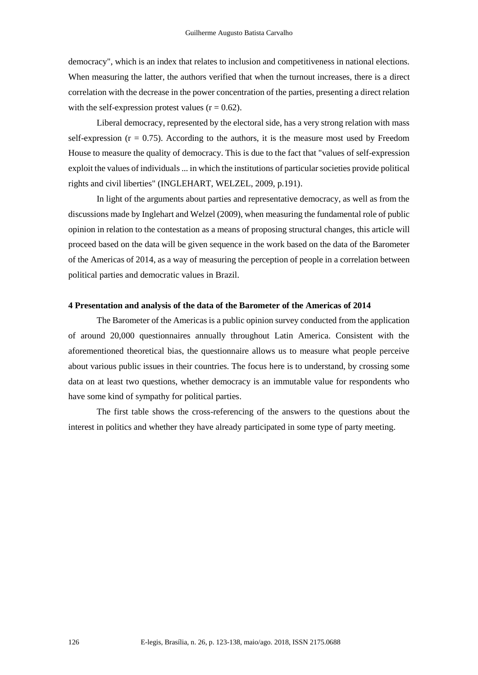democracy", which is an index that relates to inclusion and competitiveness in national elections. When measuring the latter, the authors verified that when the turnout increases, there is a direct correlation with the decrease in the power concentration of the parties, presenting a direct relation with the self-expression protest values  $(r = 0.62)$ .

Liberal democracy, represented by the electoral side, has a very strong relation with mass self-expression ( $r = 0.75$ ). According to the authors, it is the measure most used by Freedom House to measure the quality of democracy. This is due to the fact that "values of self-expression exploit the values of individuals ... in which the institutions of particular societies provide political rights and civil liberties" (INGLEHART, WELZEL, 2009, p.191).

In light of the arguments about parties and representative democracy, as well as from the discussions made by Inglehart and Welzel (2009), when measuring the fundamental role of public opinion in relation to the contestation as a means of proposing structural changes, this article will proceed based on the data will be given sequence in the work based on the data of the Barometer of the Americas of 2014, as a way of measuring the perception of people in a correlation between political parties and democratic values in Brazil.

## **4 Presentation and analysis of the data of the Barometer of the Americas of 2014**

The Barometer of the Americas is a public opinion survey conducted from the application of around 20,000 questionnaires annually throughout Latin America. Consistent with the aforementioned theoretical bias, the questionnaire allows us to measure what people perceive about various public issues in their countries. The focus here is to understand, by crossing some data on at least two questions, whether democracy is an immutable value for respondents who have some kind of sympathy for political parties.

The first table shows the cross-referencing of the answers to the questions about the interest in politics and whether they have already participated in some type of party meeting.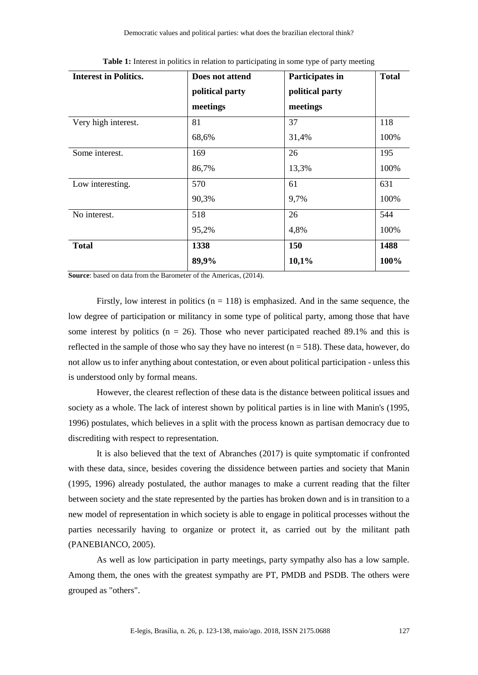| <b>Interest in Politics.</b> | Does not attend | Participates in | <b>Total</b> |
|------------------------------|-----------------|-----------------|--------------|
|                              | political party | political party |              |
|                              | meetings        | meetings        |              |
| Very high interest.          | 81              | 37              | 118          |
|                              | 68,6%           | 31,4%           | 100%         |
| Some interest.               | 169             | 26              | 195          |
|                              | 86,7%           | 13,3%           | 100%         |
| Low interesting.             | 570             | 61              | 631          |
|                              | 90,3%           | 9,7%            | 100%         |
| No interest.                 | 518             | 26              | 544          |
|                              | 95,2%           | 4,8%            | 100%         |
| <b>Total</b>                 | 1338            | 150             | 1488         |
|                              | 89,9%           | 10,1%           | 100%         |

**Table 1:** Interest in politics in relation to participating in some type of party meeting

**Source**: based on data from the Barometer of the Americas, (2014).

Firstly, low interest in politics  $(n = 118)$  is emphasized. And in the same sequence, the low degree of participation or militancy in some type of political party, among those that have some interest by politics ( $n = 26$ ). Those who never participated reached 89.1% and this is reflected in the sample of those who say they have no interest ( $n = 518$ ). These data, however, do not allow us to infer anything about contestation, or even about political participation - unless this is understood only by formal means.

However, the clearest reflection of these data is the distance between political issues and society as a whole. The lack of interest shown by political parties is in line with Manin's (1995, 1996) postulates, which believes in a split with the process known as partisan democracy due to discrediting with respect to representation.

It is also believed that the text of Abranches (2017) is quite symptomatic if confronted with these data, since, besides covering the dissidence between parties and society that Manin (1995, 1996) already postulated, the author manages to make a current reading that the filter between society and the state represented by the parties has broken down and is in transition to a new model of representation in which society is able to engage in political processes without the parties necessarily having to organize or protect it, as carried out by the militant path (PANEBIANCO, 2005).

As well as low participation in party meetings, party sympathy also has a low sample. Among them, the ones with the greatest sympathy are PT, PMDB and PSDB. The others were grouped as "others".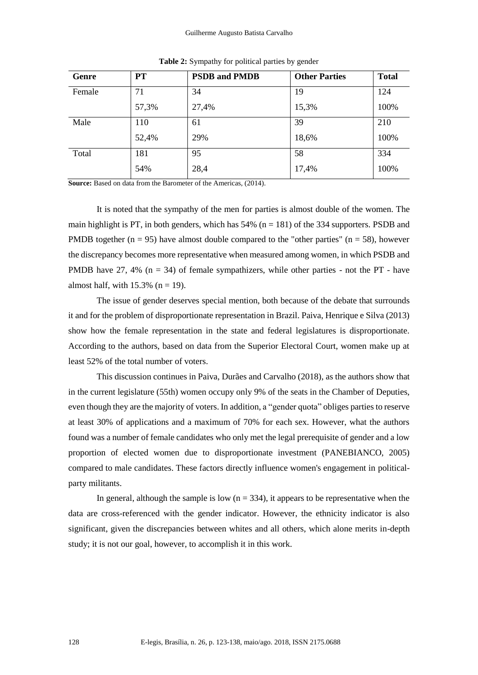#### Guilherme Augusto Batista Carvalho

| Genre  | <b>PT</b> | <b>PSDB</b> and <b>PMDB</b> | <b>Other Parties</b> | <b>Total</b> |
|--------|-----------|-----------------------------|----------------------|--------------|
| Female | 71        | 34                          | 19                   | 124          |
|        | 57,3%     | 27,4%                       | 15,3%                | 100%         |
| Male   | 110       | 61                          | 39                   | 210          |
|        | 52,4%     | 29%                         | 18,6%                | 100%         |
| Total  | 181       | 95                          | 58                   | 334          |
|        | 54%       | 28,4                        | 17,4%                | 100%         |

**Table 2:** Sympathy for political parties by gender

**Source:** Based on data from the Barometer of the Americas, (2014).

It is noted that the sympathy of the men for parties is almost double of the women. The main highlight is PT, in both genders, which has  $54\%$  (n = 181) of the 334 supporters. PSDB and PMDB together ( $n = 95$ ) have almost double compared to the "other parties" ( $n = 58$ ), however the discrepancy becomes more representative when measured among women, in which PSDB and PMDB have 27, 4%  $(n = 34)$  of female sympathizers, while other parties - not the PT - have almost half, with  $15.3\%$  (n = 19).

The issue of gender deserves special mention, both because of the debate that surrounds it and for the problem of disproportionate representation in Brazil. Paiva, Henrique e Silva (2013) show how the female representation in the state and federal legislatures is disproportionate. According to the authors, based on data from the Superior Electoral Court, women make up at least 52% of the total number of voters.

This discussion continues in Paiva, Durães and Carvalho (2018), as the authors show that in the current legislature (55th) women occupy only 9% of the seats in the Chamber of Deputies, even though they are the majority of voters. In addition, a "gender quota" obliges parties to reserve at least 30% of applications and a maximum of 70% for each sex. However, what the authors found was a number of female candidates who only met the legal prerequisite of gender and a low proportion of elected women due to disproportionate investment (PANEBIANCO, 2005) compared to male candidates. These factors directly influence women's engagement in politicalparty militants.

In general, although the sample is low  $(n = 334)$ , it appears to be representative when the data are cross-referenced with the gender indicator. However, the ethnicity indicator is also significant, given the discrepancies between whites and all others, which alone merits in-depth study; it is not our goal, however, to accomplish it in this work.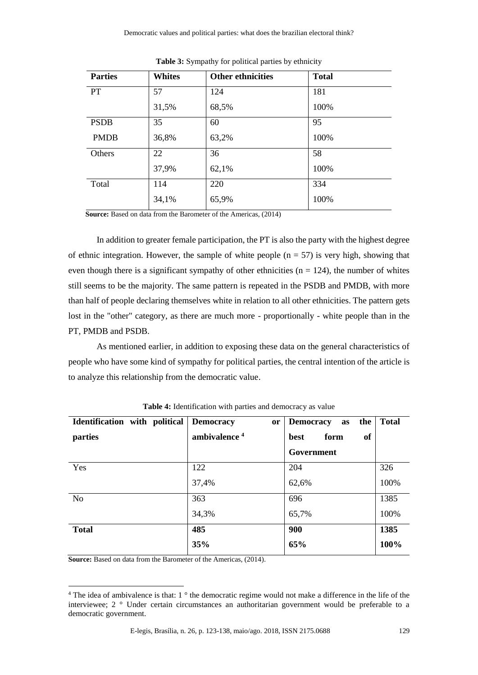| <b>Parties</b> | <b>Whites</b> | <b>Other ethnicities</b> | <b>Total</b> |
|----------------|---------------|--------------------------|--------------|
| <b>PT</b>      | 57            | 124                      | 181          |
|                | 31,5%         | 68,5%                    | 100%         |
| <b>PSDB</b>    | 35            | 60                       | 95           |
| <b>PMDB</b>    | 36,8%         | 63,2%                    | 100%         |
| Others         | 22            | 36                       | 58           |
|                | 37,9%         | 62,1%                    | 100%         |
| Total          | 114           | 220                      | 334          |
|                | 34,1%         | 65,9%                    | 100%         |

**Table 3:** Sympathy for political parties by ethnicity

**Source:** Based on data from the Barometer of the Americas, (2014)

In addition to greater female participation, the PT is also the party with the highest degree of ethnic integration. However, the sample of white people  $(n = 57)$  is very high, showing that even though there is a significant sympathy of other ethnicities ( $n = 124$ ), the number of whites still seems to be the majority. The same pattern is repeated in the PSDB and PMDB, with more than half of people declaring themselves white in relation to all other ethnicities. The pattern gets lost in the "other" category, as there are much more - proportionally - white people than in the PT, PMDB and PSDB.

As mentioned earlier, in addition to exposing these data on the general characteristics of people who have some kind of sympathy for political parties, the central intention of the article is to analyze this relationship from the democratic value.

| Identification with political | <b>Democracy</b><br>or   | the<br><b>Democracy</b><br>as | <b>Total</b> |
|-------------------------------|--------------------------|-------------------------------|--------------|
| parties                       | ambivalence <sup>4</sup> | of<br>form<br>best            |              |
|                               |                          | Government                    |              |
| Yes                           | 122                      | 204                           | 326          |
|                               | 37,4%                    | 62,6%                         | 100%         |
| N <sub>o</sub>                | 363                      | 696                           | 1385         |
|                               | 34,3%                    | 65,7%                         | 100%         |
| <b>Total</b>                  | 485                      | 900                           | 1385         |
|                               | 35%                      | 65%                           | 100%         |

**Table 4:** Identification with parties and democracy as value

**Source:** Based on data from the Barometer of the Americas, (2014).

1

<sup>&</sup>lt;sup>4</sup> The idea of ambivalence is that: 1 ° the democratic regime would not make a difference in the life of the interviewee; 2 ° Under certain circumstances an authoritarian government would be preferable to a democratic government.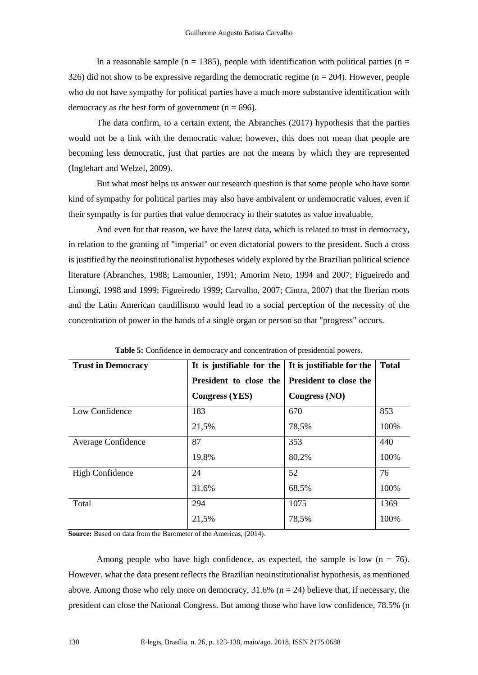In a reasonable sample ( $n = 1385$ ), people with identification with political parties ( $n =$ 326) did not show to be expressive regarding the democratic regime ( $n = 204$ ). However, people who do not have sympathy for political parties have a much more substantive identification with democracy as the best form of government ( $n = 696$ ).

The data confirm, to a certain extent, the Abranches (2017) hypothesis that the parties would not be a link with the democratic value; however, this does not mean that people are becoming less democratic, just that parties are not the means by which they are represented (Inglehart and Welzel, 2009).

But what most helps us answer our research question is that some people who have some kind of sympathy for political parties may also have ambivalent or undemocratic values, even if their sympathy is for parties that value democracy in their statutes as value invaluable.

And even for that reason, we have the latest data, which is related to trust in democracy, in relation to the granting of "imperial" or even dictatorial powers to the president. Such a cross is justified by the neoinstitutionalist hypotheses widely explored by the Brazilian political science literature (Abranches, 1988; Lamounier, 1991; Amorim Neto, 1994 and 2007; Figueiredo and Limongi, 1998 and 1999; Figueiredo 1999; Carvalho, 2007; Cintra, 2007) that the Iberian roots and the Latin American caudillismo would lead to a social perception of the necessity of the concentration of power in the hands of a single organ or person so that "progress" occurs.

| <b>Trust in Democracy</b> | It is justifiable for the | It is justifiable for the | <b>Total</b> |
|---------------------------|---------------------------|---------------------------|--------------|
|                           | President to close the    | President to close the    |              |
|                           | <b>Congress (YES)</b>     | Congress (NO)             |              |
| Low Confidence            | 183                       | 670                       | 853          |
|                           | 21,5%                     | 78,5%                     | 100%         |
| Average Confidence        | 87                        | 353                       | 440          |
|                           | 19,8%                     | 80,2%                     | 100%         |
| <b>High Confidence</b>    | 24                        | 52                        | 76           |
|                           | 31,6%                     | 68,5%                     | 100%         |
| Total                     | 294                       | 1075                      | 1369         |
|                           | 21,5%                     | 78,5%                     | 100%         |

**Table 5:** Confidence in democracy and concentration of presidential powers.

**Source:** Based on data from the Barometer of the Americas, (2014).

Among people who have high confidence, as expected, the sample is low  $(n = 76)$ . However, what the data present reflects the Brazilian neoinstitutionalist hypothesis, as mentioned above. Among those who rely more on democracy,  $31.6\%$  (n = 24) believe that, if necessary, the president can close the National Congress. But among those who have low confidence, 78.5% (n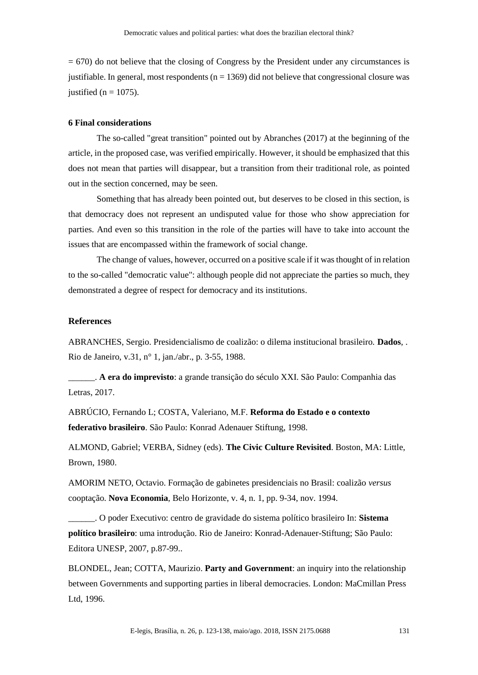= 670) do not believe that the closing of Congress by the President under any circumstances is justifiable. In general, most respondents ( $n = 1369$ ) did not believe that congressional closure was justified ( $n = 1075$ ).

# **6 Final considerations**

The so-called "great transition" pointed out by Abranches (2017) at the beginning of the article, in the proposed case, was verified empirically. However, it should be emphasized that this does not mean that parties will disappear, but a transition from their traditional role, as pointed out in the section concerned, may be seen.

Something that has already been pointed out, but deserves to be closed in this section, is that democracy does not represent an undisputed value for those who show appreciation for parties. And even so this transition in the role of the parties will have to take into account the issues that are encompassed within the framework of social change.

The change of values, however, occurred on a positive scale if it was thought of in relation to the so-called "democratic value": although people did not appreciate the parties so much, they demonstrated a degree of respect for democracy and its institutions.

# **References**

ABRANCHES, Sergio. Presidencialismo de coalizão: o dilema institucional brasileiro. **Dados**, . Rio de Janeiro, v.31, n° 1, jan./abr., p. 3-55, 1988.

\_\_\_\_\_\_. **A era do imprevisto**: a grande transição do século XXI. São Paulo: Companhia das Letras, 2017.

ABRÚCIO, Fernando L; COSTA, Valeriano, M.F. **Reforma do Estado e o contexto federativo brasileiro**. São Paulo: Konrad Adenauer Stiftung, 1998.

ALMOND, Gabriel; VERBA, Sidney (eds). **The Civic Culture Revisited**. Boston, MA: Little, Brown, 1980.

AMORIM NETO, Octavio. Formação de gabinetes presidenciais no Brasil: coalizão *versus*  cooptação. **Nova Economia**, Belo Horizonte, v. 4, n. 1, pp. 9-34, nov. 1994.

\_\_\_\_\_\_. O poder Executivo: centro de gravidade do sistema político brasileiro In: **Sistema político brasileiro**: uma introdução. Rio de Janeiro: Konrad-Adenauer-Stiftung; São Paulo: Editora UNESP, 2007, p.87-99..

BLONDEL, Jean; COTTA, Maurizio. **Party and Government**: an inquiry into the relationship between Governments and supporting parties in liberal democracies. London: MaCmillan Press Ltd, 1996.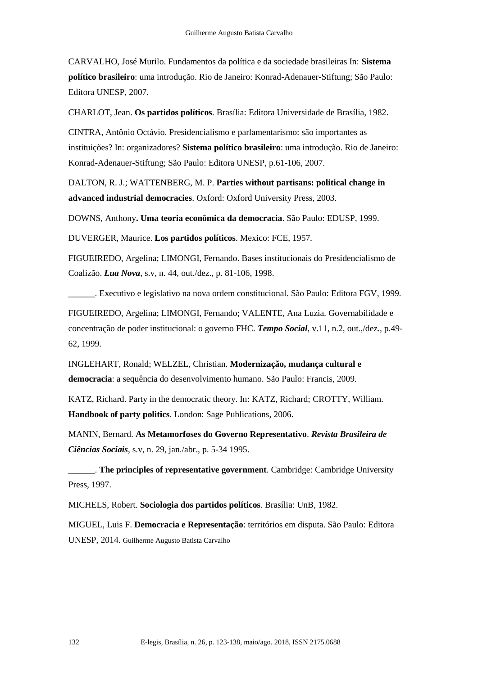CARVALHO, José Murilo. Fundamentos da política e da sociedade brasileiras In: **Sistema político brasileiro**: uma introdução. Rio de Janeiro: Konrad-Adenauer-Stiftung; São Paulo: Editora UNESP, 2007.

CHARLOT, Jean. **Os partidos políticos**. Brasília: Editora Universidade de Brasília, 1982.

CINTRA, Antônio Octávio. Presidencialismo e parlamentarismo: são importantes as instituições? In: organizadores? **Sistema político brasileiro**: uma introdução. Rio de Janeiro: Konrad-Adenauer-Stiftung; São Paulo: Editora UNESP, p.61-106, 2007.

DALTON, R. J.; WATTENBERG, M. P. **Parties without partisans: political change in advanced industrial democracies**. Oxford: Oxford University Press, 2003.

DOWNS, Anthony**. Uma teoria econômica da democracia**. São Paulo: EDUSP, 1999.

DUVERGER, Maurice. **Los partidos políticos**. Mexico: FCE, 1957.

FIGUEIREDO, Argelina; LIMONGI, Fernando. Bases institucionais do Presidencialismo de Coalizão. *Lua Nova*, s.v, n. 44, out./dez., p. 81-106, 1998.

\_\_\_\_\_\_. Executivo e legislativo na nova ordem constitucional. São Paulo: Editora FGV, 1999.

FIGUEIREDO, Argelina; LIMONGI, Fernando; VALENTE, Ana Luzia. Governabilidade e concentração de poder institucional: o governo FHC. *Tempo Social*, v.11, n.2, out.,/dez., p.49- 62, 1999.

INGLEHART, Ronald; WELZEL, Christian. **Modernização, mudança cultural e democracia**: a sequência do desenvolvimento humano. São Paulo: Francis, 2009.

KATZ, Richard. Party in the democratic theory. In: KATZ, Richard; CROTTY, William. **Handbook of party politics**. London: Sage Publications, 2006.

MANIN, Bernard. **As Metamorfoses do Governo Representativo**. *Revista Brasileira de Ciências Sociais*, s.v, n. 29, jan./abr., p. 5-34 1995.

\_\_\_\_\_\_. **The principles of representative government**. Cambridge: Cambridge University Press, 1997.

MICHELS, Robert. **Sociologia dos partidos políticos**. Brasília: UnB, 1982.

MIGUEL, Luis F. **Democracia e Representação**: territórios em disputa. São Paulo: Editora UNESP, 2014. Guilherme Augusto Batista Carvalho